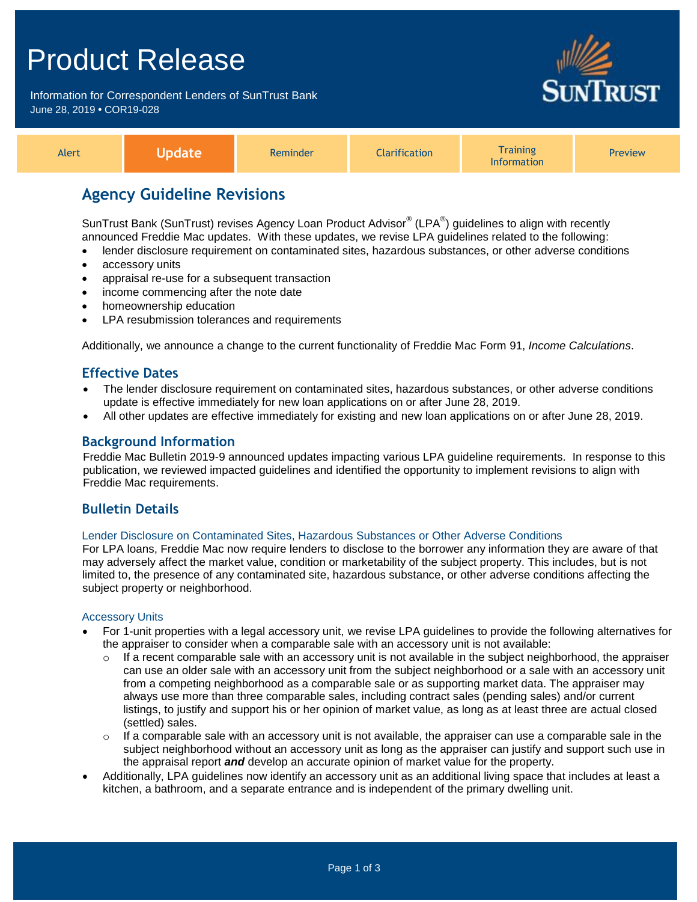# Product Release

Information for Correspondent Lenders of SunTrust Bank June 28, 2019 **•** COR19-028



| Alert |  | <b>Reminder</b> | <b>Narification</b> | <b>Training</b><br><b>'nformation</b> | <b>Preview</b> |
|-------|--|-----------------|---------------------|---------------------------------------|----------------|
|-------|--|-----------------|---------------------|---------------------------------------|----------------|

## **Agency Guideline Revisions**

SunTrust Bank (SunTrust) revises Agency Loan Product Advisor $^{\circledast}$  (LPA $^{\circledast}$ ) guidelines to align with recently announced Freddie Mac updates. With these updates, we revise LPA guidelines related to the following:

- lender disclosure requirement on contaminated sites, hazardous substances, or other adverse conditions
- accessory units
- appraisal re-use for a subsequent transaction
- income commencing after the note date
- homeownership education
- LPA resubmission tolerances and requirements

Additionally, we announce a change to the current functionality of Freddie Mac Form 91, *Income Calculations*.

### **Effective Dates**

- The lender disclosure requirement on contaminated sites, hazardous substances, or other adverse conditions update is effective immediately for new loan applications on or after June 28, 2019.
- All other updates are effective immediately for existing and new loan applications on or after June 28, 2019.

## **Background Information**

Freddie Mac Bulletin 2019-9 announced updates impacting various LPA guideline requirements. In response to this publication, we reviewed impacted guidelines and identified the opportunity to implement revisions to align with Freddie Mac requirements.

## **Bulletin Details**

#### Lender Disclosure on Contaminated Sites, Hazardous Substances or Other Adverse Conditions

For LPA loans, Freddie Mac now require lenders to disclose to the borrower any information they are aware of that may adversely affect the market value, condition or marketability of the subject property. This includes, but is not limited to, the presence of any contaminated site, hazardous substance, or other adverse conditions affecting the subject property or neighborhood.

#### Accessory Units

- For 1-unit properties with a legal accessory unit, we revise LPA guidelines to provide the following alternatives for the appraiser to consider when a comparable sale with an accessory unit is not available:
	- $\circ$  If a recent comparable sale with an accessory unit is not available in the subject neighborhood, the appraiser can use an older sale with an accessory unit from the subject neighborhood or a sale with an accessory unit from a competing neighborhood as a comparable sale or as supporting market data. The appraiser may always use more than three comparable sales, including contract sales (pending sales) and/or current listings, to justify and support his or her opinion of market value, as long as at least three are actual closed (settled) sales.
	- If a comparable sale with an accessory unit is not available, the appraiser can use a comparable sale in the subject neighborhood without an accessory unit as long as the appraiser can justify and support such use in the appraisal report *and* develop an accurate opinion of market value for the property.
- Additionally, LPA guidelines now identify an accessory unit as an additional living space that includes at least a kitchen, a bathroom, and a separate entrance and is independent of the primary dwelling unit.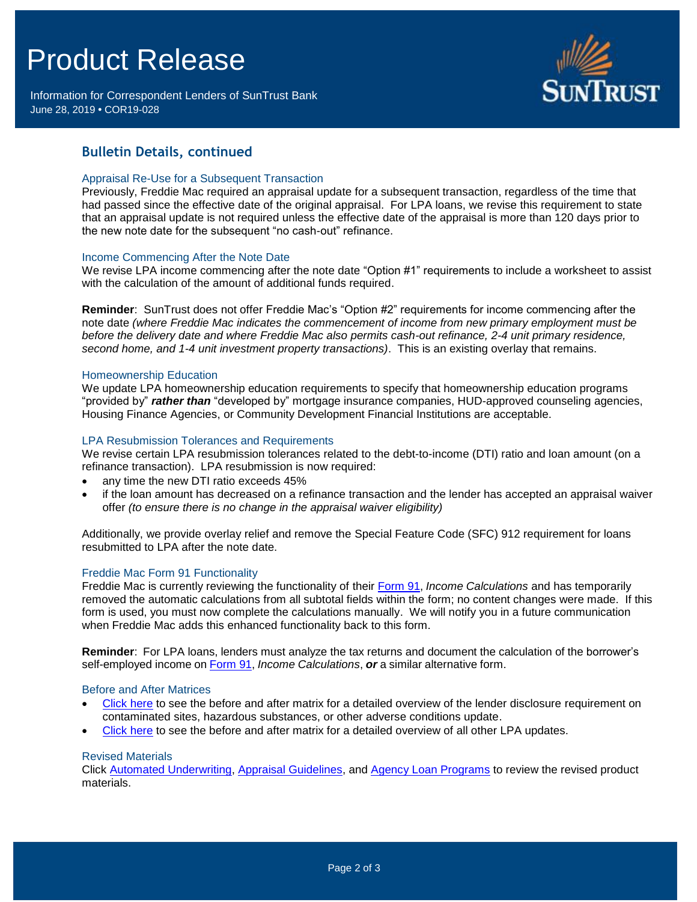# Product Release

Information for Correspondent Lenders of SunTrust Bank June 28, 2019 **•** COR19-028



## **Bulletin Details, continued**

#### Appraisal Re-Use for a Subsequent Transaction

Previously, Freddie Mac required an appraisal update for a subsequent transaction, regardless of the time that had passed since the effective date of the original appraisal. For LPA loans, we revise this requirement to state that an appraisal update is not required unless the effective date of the appraisal is more than 120 days prior to the new note date for the subsequent "no cash-out" refinance.

#### Income Commencing After the Note Date

We revise LPA income commencing after the note date "Option #1" requirements to include a worksheet to assist with the calculation of the amount of additional funds required.

**Reminder**: SunTrust does not offer Freddie Mac's "Option #2" requirements for income commencing after the note date *(where Freddie Mac indicates the commencement of income from new primary employment must be before the delivery date and where Freddie Mac also permits cash-out refinance, 2-4 unit primary residence, second home, and 1-4 unit investment property transactions)*. This is an existing overlay that remains.

#### Homeownership Education

We update LPA homeownership education requirements to specify that homeownership education programs "provided by" *rather than* "developed by" mortgage insurance companies, HUD-approved counseling agencies, Housing Finance Agencies, or Community Development Financial Institutions are acceptable.

#### LPA Resubmission Tolerances and Requirements

We revise certain LPA resubmission tolerances related to the debt-to-income (DTI) ratio and loan amount (on a refinance transaction). LPA resubmission is now required:

- any time the new DTI ratio exceeds 45%
- if the loan amount has decreased on a refinance transaction and the lender has accepted an appraisal waiver offer *(to ensure there is no change in the appraisal waiver eligibility)*

Additionally, we provide overlay relief and remove the Special Feature Code (SFC) 912 requirement for loans resubmitted to LPA after the note date.

#### Freddie Mac Form 91 Functionality

Freddie Mac is currently reviewing the functionality of their [Form](http://www.freddiemac.com/singlefamily/forms/sell/pdf/91.pdf) 91, *Income Calculations* and has temporarily removed the automatic calculations from all subtotal fields within the form; no content changes were made. If this form is used, you must now complete the calculations manually. We will notify you in a future communication when Freddie Mac adds this enhanced functionality back to this form.

**Reminder**: For LPA loans, lenders must analyze the tax returns and document the calculation of the borrower's self-employed income on [Form](http://www.freddiemac.com/singlefamily/forms/sell/pdf/91.pdf) 91, *Income Calculations*, *or* a similar alternative form.

#### Before and After Matrices

- [Click here](http://www.truistsellerguide.com/manual/cor/products/Cr19-028BA-New.pdf) to see the before and after matrix for a detailed overview of the lender disclosure requirement on contaminated sites, hazardous substances, or other adverse conditions update.
- [Click here](http://www.truistsellerguide.com/manual/cor/products/Cr19-028BA-NewandExist.pdf) to see the before and after matrix for a detailed overview of all other LPA updates.

#### Revised Materials

Click [Automated Underwriting,](https://www.truistsellerguide.com/Manual/cor/general/1.04AUS.pdf) [Appraisal Guidelines,](https://www.truistsellerguide.com/Manual/cor/general/1.07Appraisals.pdf) and [Agency Loan Programs](https://www.truistsellerguide.com/manual/cor/products/CAgency.pdf) to review the revised product materials.